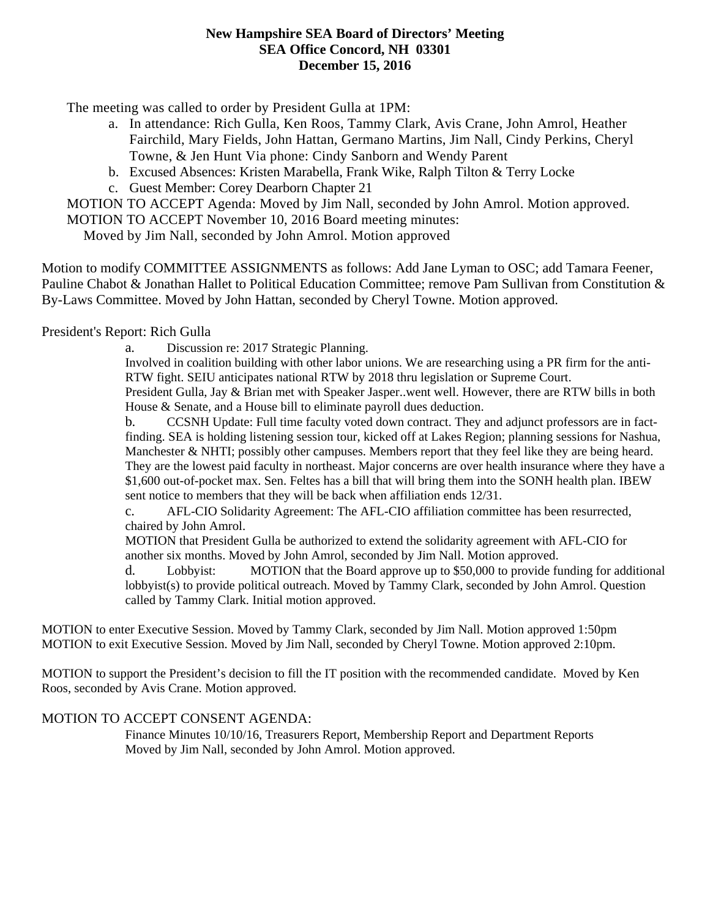## **New Hampshire SEA Board of Directors' Meeting SEA Office Concord, NH 03301 December 15, 2016**

The meeting was called to order by President Gulla at 1PM:

- a. In attendance: Rich Gulla, Ken Roos, Tammy Clark, Avis Crane, John Amrol, Heather Fairchild, Mary Fields, John Hattan, Germano Martins, Jim Nall, Cindy Perkins, Cheryl Towne, & Jen Hunt Via phone: Cindy Sanborn and Wendy Parent
- b. Excused Absences: Kristen Marabella, Frank Wike, Ralph Tilton & Terry Locke
- c. Guest Member: Corey Dearborn Chapter 21

MOTION TO ACCEPT Agenda: Moved by Jim Nall, seconded by John Amrol. Motion approved. MOTION TO ACCEPT November 10, 2016 Board meeting minutes:

Moved by Jim Nall, seconded by John Amrol. Motion approved

Motion to modify COMMITTEE ASSIGNMENTS as follows: Add Jane Lyman to OSC; add Tamara Feener, Pauline Chabot & Jonathan Hallet to Political Education Committee; remove Pam Sullivan from Constitution & By-Laws Committee. Moved by John Hattan, seconded by Cheryl Towne. Motion approved.

President's Report: Rich Gulla

a. Discussion re: 2017 Strategic Planning.

Involved in coalition building with other labor unions. We are researching using a PR firm for the anti-RTW fight. SEIU anticipates national RTW by 2018 thru legislation or Supreme Court.

President Gulla, Jay & Brian met with Speaker Jasper..went well. However, there are RTW bills in both House & Senate, and a House bill to eliminate payroll dues deduction.

b. CCSNH Update: Full time faculty voted down contract. They and adjunct professors are in factfinding. SEA is holding listening session tour, kicked off at Lakes Region; planning sessions for Nashua, Manchester & NHTI; possibly other campuses. Members report that they feel like they are being heard. They are the lowest paid faculty in northeast. Major concerns are over health insurance where they have a \$1,600 out-of-pocket max. Sen. Feltes has a bill that will bring them into the SONH health plan. IBEW sent notice to members that they will be back when affiliation ends 12/31.

c. AFL-CIO Solidarity Agreement: The AFL-CIO affiliation committee has been resurrected, chaired by John Amrol.

MOTION that President Gulla be authorized to extend the solidarity agreement with AFL-CIO for another six months. Moved by John Amrol, seconded by Jim Nall. Motion approved.

d. Lobbyist: MOTION that the Board approve up to \$50,000 to provide funding for additional lobbyist(s) to provide political outreach. Moved by Tammy Clark, seconded by John Amrol. Question called by Tammy Clark. Initial motion approved.

MOTION to enter Executive Session. Moved by Tammy Clark, seconded by Jim Nall. Motion approved 1:50pm MOTION to exit Executive Session. Moved by Jim Nall, seconded by Cheryl Towne. Motion approved 2:10pm.

MOTION to support the President's decision to fill the IT position with the recommended candidate. Moved by Ken Roos, seconded by Avis Crane. Motion approved.

## MOTION TO ACCEPT CONSENT AGENDA:

 Finance Minutes 10/10/16, Treasurers Report, Membership Report and Department Reports Moved by Jim Nall, seconded by John Amrol. Motion approved.